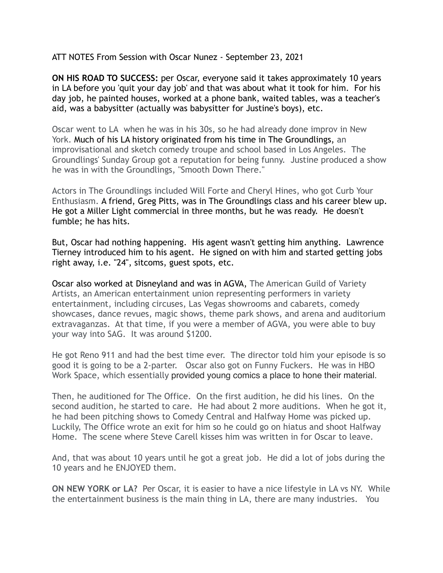ATT NOTES From Session with Oscar Nunez - September 23, 2021

**ON HIS ROAD TO SUCCESS:** per Oscar, everyone said it takes approximately 10 years in LA before you 'quit your day job' and that was about what it took for him. For his day job, he painted houses, worked at a phone bank, waited tables, was a teacher's aid, was a babysitter (actually was babysitter for Justine's boys), etc.

Oscar went to LA when he was in his 30s, so he had already done improv in New York. Much of his LA history originated from his time in The Groundlings, an improvisational and sketch comedy troupe and school based in Los Angeles. The Groundlings' Sunday Group got a reputation for being funny. Justine produced a show he was in with the Groundlings, "Smooth Down There."

Actors in The Groundlings included Will Forte and Cheryl Hines, who got Curb Your Enthusiasm. A friend, Greg Pitts, was in The Groundlings class and his career blew up. He got a Miller Light commercial in three months, but he was ready. He doesn't fumble; he has hits.

But, Oscar had nothing happening. His agent wasn't getting him anything. Lawrence Tierney introduced him to his agent. He signed on with him and started getting jobs right away, i.e. "24", sitcoms, guest spots, etc.

Oscar also worked at Disneyland and was in AGVA, The American Guild of Variety Artists, an American entertainment union representing performers in variety entertainment, including circuses, Las Vegas showrooms and cabarets, comedy showcases, dance revues, magic shows, theme park shows, and arena and auditorium extravaganzas. At that time, if you were a member of AGVA, you were able to buy your way into SAG. It was around \$1200.

He got Reno 911 and had the best time ever. The director told him your episode is so good it is going to be a 2-parter. Oscar also got on Funny Fuckers. He was in HBO Work Space, which essentially provided young comics a place to hone their material.

Then, he auditioned for The Office. On the first audition, he did his lines. On the second audition, he started to care. He had about 2 more auditions. When he got it, he had been pitching shows to Comedy Central and Halfway Home was picked up. Luckily, The Office wrote an exit for him so he could go on hiatus and shoot Halfway Home. The scene where Steve Carell kisses him was written in for Oscar to leave.

And, that was about 10 years until he got a great job. He did a lot of jobs during the 10 years and he ENJOYED them.

**ON NEW YORK or LA?** Per Oscar, it is easier to have a nice lifestyle in LA vs NY. While the entertainment business is the main thing in LA, there are many industries. You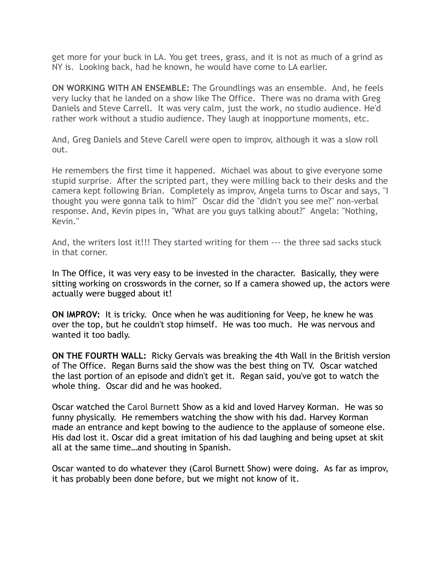get more for your buck in LA. You get trees, grass, and it is not as much of a grind as NY is. Looking back, had he known, he would have come to LA earlier.

**ON WORKING WITH AN ENSEMBLE:** The Groundlings was an ensemble. And, he feels very lucky that he landed on a show like The Office. There was no drama with Greg Daniels and Steve Carrell. It was very calm, just the work, no studio audience. He'd rather work without a studio audience. They laugh at inopportune moments, etc.

And, Greg Daniels and Steve Carell were open to improv, although it was a slow roll out.

He remembers the first time it happened. Michael was about to give everyone some stupid surprise. After the scripted part, they were milling back to their desks and the camera kept following Brian. Completely as improv, Angela turns to Oscar and says, "I thought you were gonna talk to him?" Oscar did the "didn't you see me?" non-verbal response. And, Kevin pipes in, "What are you guys talking about?" Angela: "Nothing, Kevin."

And, the writers lost it!!! They started writing for them --- the three sad sacks stuck in that corner.

In The Office, it was very easy to be invested in the character. Basically, they were sitting working on crosswords in the corner, so If a camera showed up, the actors were actually were bugged about it!

**ON IMPROV:** It is tricky. Once when he was auditioning for Veep, he knew he was over the top, but he couldn't stop himself. He was too much. He was nervous and wanted it too badly.

**ON THE FOURTH WALL:** Ricky Gervais was breaking the 4th Wall in the British version of The Office. Regan Burns said the show was the best thing on TV. Oscar watched the last portion of an episode and didn't get it. Regan said, you've got to watch the whole thing. Oscar did and he was hooked.

Oscar watched the Carol Burnett Show as a kid and loved Harvey Korman. He was so funny physically. He remembers watching the show with his dad. Harvey Korman made an entrance and kept bowing to the audience to the applause of someone else. His dad lost it. Oscar did a great imitation of his dad laughing and being upset at skit all at the same time…and shouting in Spanish.

Oscar wanted to do whatever they (Carol Burnett Show) were doing. As far as improv, it has probably been done before, but we might not know of it.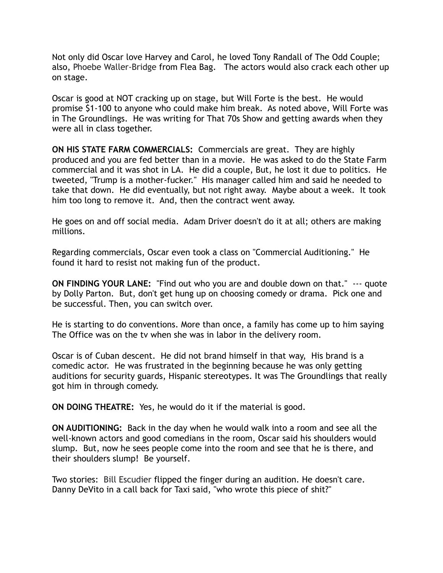Not only did Oscar love Harvey and Carol, he loved Tony Randall of The Odd Couple; also, Phoebe Waller-Bridge from Flea Bag. The actors would also crack each other up on stage.

Oscar is good at NOT cracking up on stage, but Will Forte is the best. He would promise \$1-100 to anyone who could make him break. As noted above, Will Forte was in The Groundlings. He was writing for That 70s Show and getting awards when they were all in class together.

**ON HIS STATE FARM COMMERCIALS:** Commercials are great. They are highly produced and you are fed better than in a movie. He was asked to do the State Farm commercial and it was shot in LA. He did a couple, But, he lost it due to politics. He tweeted, "Trump is a mother-fucker." His manager called him and said he needed to take that down. He did eventually, but not right away. Maybe about a week. It took him too long to remove it. And, then the contract went away.

He goes on and off social media. Adam Driver doesn't do it at all; others are making millions.

Regarding commercials, Oscar even took a class on "Commercial Auditioning." He found it hard to resist not making fun of the product.

**ON FINDING YOUR LANE:** "Find out who you are and double down on that." --- quote by Dolly Parton. But, don't get hung up on choosing comedy or drama. Pick one and be successful. Then, you can switch over.

He is starting to do conventions. More than once, a family has come up to him saying The Office was on the tv when she was in labor in the delivery room.

Oscar is of Cuban descent. He did not brand himself in that way, His brand is a comedic actor. He was frustrated in the beginning because he was only getting auditions for security guards, Hispanic stereotypes. It was The Groundlings that really got him in through comedy.

**ON DOING THEATRE:** Yes, he would do it if the material is good.

**ON AUDITIONING:** Back in the day when he would walk into a room and see all the well-known actors and good comedians in the room, Oscar said his shoulders would slump. But, now he sees people come into the room and see that he is there, and their shoulders slump! Be yourself.

Two stories: Bill Escudier flipped the finger during an audition. He doesn't care. Danny DeVito in a call back for Taxi said, "who wrote this piece of shit?"